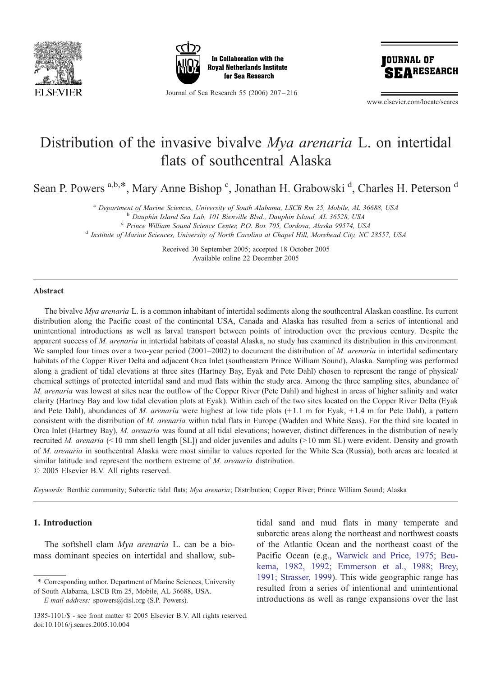





Journal of Sea Research 55 (2006) 207 – 216

www.elsevier.com/locate/seares

# Distribution of the invasive bivalve Mya arenaria L. on intertidal flats of southcentral Alaska

Sean P. Powers <sup>a,b,\*</sup>, Mary Anne Bishop <sup>c</sup>, Jonathan H. Grabowski <sup>d</sup>, Charles H. Peterson <sup>d</sup>

a Department of Marine Sciences, University of South Alabama, LSCB Rm 25, Mobile, AL 36688, USA<br>b Dauphin Island Sea Lab, 101 Bienville Blvd., Dauphin Island, AL 36528, USA<br>c Prince William Sound Science Center, P.O. Box 7

<sup>d</sup> Institute of Marine Sciences, University of North Carolina at Chapel Hill, Morehead City, NC 28557, USA

Received 30 September 2005; accepted 18 October 2005 Available online 22 December 2005

#### Abstract

The bivalve Mya arenaria L. is a common inhabitant of intertidal sediments along the southcentral Alaskan coastline. Its current distribution along the Pacific coast of the continental USA, Canada and Alaska has resulted from a series of intentional and unintentional introductions as well as larval transport between points of introduction over the previous century. Despite the apparent success of M. arenaria in intertidal habitats of coastal Alaska, no study has examined its distribution in this environment. We sampled four times over a two-year period (2001–2002) to document the distribution of M. arenaria in intertidal sedimentary habitats of the Copper River Delta and adjacent Orca Inlet (southeastern Prince William Sound), Alaska. Sampling was performed along a gradient of tidal elevations at three sites (Hartney Bay, Eyak and Pete Dahl) chosen to represent the range of physical/ chemical settings of protected intertidal sand and mud flats within the study area. Among the three sampling sites, abundance of M. arenaria was lowest at sites near the outflow of the Copper River (Pete Dahl) and highest in areas of higher salinity and water clarity (Hartney Bay and low tidal elevation plots at Eyak). Within each of the two sites located on the Copper River Delta (Eyak and Pete Dahl), abundances of M. arenaria were highest at low tide plots  $(+1.1 \text{ m}$  for Eyak,  $+1.4 \text{ m}$  for Pete Dahl), a pattern consistent with the distribution of M. arenaria within tidal flats in Europe (Wadden and White Seas). For the third site located in Orca Inlet (Hartney Bay), M. arenaria was found at all tidal elevations; however, distinct differences in the distribution of newly recruited M. arenaria (<10 mm shell length [SL]) and older juveniles and adults (>10 mm SL) were evident. Density and growth of M. arenaria in southcentral Alaska were most similar to values reported for the White Sea (Russia); both areas are located at similar latitude and represent the northern extreme of M. arenaria distribution.  $© 2005 Elsevier B.V. All rights reserved.$ 

Keywords: Benthic community; Subarctic tidal flats; Mya arenaria; Distribution; Copper River; Prince William Sound; Alaska

## 1. Introduction

The softshell clam Mya arenaria L. can be a biomass dominant species on intertidal and shallow, sub-

tidal sand and mud flats in many temperate and subarctic areas along the northeast and northwest coasts of the Atlantic Ocean and the northeast coast of the Pacific Ocean (e.g., [Warwick and Price, 1975; Beu](#page-9-0)kema, 1982, 1992; Emmerson et al., 1988; Brey, 1991; Strasser, 1999). This wide geographic range has resulted from a series of intentional and unintentional introductions as well as range expansions over the last

<sup>\*</sup> Corresponding author. Department of Marine Sciences, University

of South Alabama, LSCB Rm 25, Mobile, AL 36688, USA. E-mail address: spowers@disl.org (S.P. Powers).

<sup>1385-1101/\$ -</sup> see front matter © 2005 Elsevier B.V. All rights reserved. doi:10.1016/j.seares.2005.10.004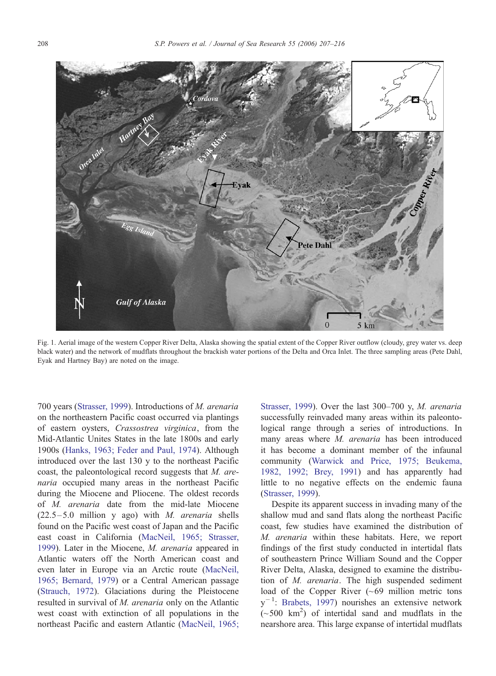<span id="page-1-0"></span>

Fig. 1. Aerial image of the western Copper River Delta, Alaska showing the spatial extent of the Copper River outflow (cloudy, grey water vs. deep black water) and the network of mudflats throughout the brackish water portions of the Delta and Orca Inlet. The three sampling areas (Pete Dahl, Eyak and Hartney Bay) are noted on the image.

700 years (S[trasser, 1999\).](#page-9-0) Introductions of M. arenaria on the northeastern Pacific coast occurred via plantings of eastern oysters, Crassostrea virginica, from the Mid-Atlantic Unites States in the late 1800s and early 1900s ([Hanks, 1963; Feder and Paul, 1974\).](#page-8-0) Although introduced over the last 130 y to the northeast Pacific coast, the paleontological record suggests that M. arenaria occupied many areas in the northeast Pacific during the Miocene and Pliocene. The oldest records of M. arenaria date from the mid-late Miocene  $(22.5 - 5.0$  million y ago) with *M. arenaria* shells found on the Pacific west coast of Japan and the Pacific east coast in California ([MacNeil, 1965; Strasser,](#page-9-0) 1999). Later in the Miocene, M. arenaria appeared in Atlantic waters off the North American coast and even later in Europe via an Arctic route ([MacNeil,](#page-9-0) 1965; Bernard, 1979) or a Central American passage (S[trauch, 1972\).](#page-9-0) Glaciations during the Pleistocene resulted in survival of M. arenaria only on the Atlantic west coast with extinction of all populations in the northeast Pacific and eastern Atlantic ([MacNeil, 1965;](#page-9-0)

Strasser, 1999). Over the last 300-700 y, M. arenaria successfully reinvaded many areas within its paleontological range through a series of introductions. In many areas where M. arenaria has been introduced it has become a dominant member of the infaunal community ([Warwick and Price, 1975; Beukema](#page-9-0), 1982, 1992; Brey, 1991) and has apparently had little to no negative effects on the endemic fauna ([Strasser, 1999\)](#page-9-0).

Despite its apparent success in invading many of the shallow mud and sand flats along the northeast Pacific coast, few studies have examined the distribution of M. arenaria within these habitats. Here, we report findings of the first study conducted in intertidal flats of southeastern Prince William Sound and the Copper River Delta, Alaska, designed to examine the distribution of M. arenaria. The high suspended sediment load of the Copper River  $({\sim}69$  million metric tons y<sup>-1</sup>: [Brabets, 1997\)](#page-8-0) nourishes an extensive network  $(-500 \text{ km}^2)$  of intertidal sand and mudflats in the nearshore area. This large expanse of intertidal mudflats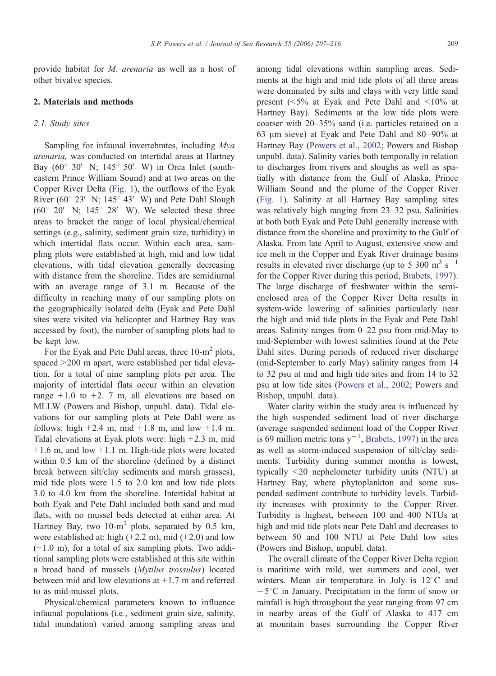provide habitat for M. arenaria as well as a host of other bivalve species.

## 2. Materials and methods

#### 2.1. Study sites

Sampling for infaunal invertebrates, including Mya arenaria, was conducted on intertidal areas at Hartney Bay  $(60^{\circ}$  30' N;  $145^{\circ}$  50' W) in Orca Inlet (southeastern Prince William Sound) and at two areas on the Copper River Delta (F[ig. 1\),](#page-1-0) the outflows of the Eyak River ( $60^{\circ}$  23' N; 145<sup>\circ</sup> 43' W) and Pete Dahl Slough  $(60^{\circ}$  20' N; 145<sup>°</sup> 28' W). We selected these three areas to bracket the range of local physical/chemical settings (e.g., salinity, sediment grain size, turbidity) in which intertidal flats occur. Within each area, sampling plots were established at high, mid and low tidal elevations, with tidal elevation generally decreasing with distance from the shoreline. Tides are semidiurnal with an average range of 3.1 m. Because of the difficulty in reaching many of our sampling plots on the geographically isolated delta (Eyak and Pete Dahl sites were visited via helicopter and Hartney Bay was accessed by foot), the number of sampling plots had to be kept low.

For the Eyak and Pete Dahl areas, three 10-m<sup>2</sup> plots, spaced  $>200$  m apart, were established per tidal elevation, for a total of nine sampling plots per area. The majority of intertidal flats occur within an elevation range  $+1.0$  to  $+2.7$  m, all elevations are based on MLLW (Powers and Bishop, unpubl. data). Tidal elevations for our sampling plots at Pete Dahl were as follows: high  $+2.4$  m, mid  $+1.8$  m, and low  $+1.4$  m. Tidal elevations at Eyak plots were: high +2.3 m, mid  $+1.6$  m, and low  $+1.1$  m. High-tide plots were located within 0.5 km of the shoreline (defined by a distinct break between silt/clay sediments and marsh grasses), mid tide plots were 1.5 to 2.0 km and low tide plots 3.0 to 4.0 km from the shoreline. Intertidal habitat at both Eyak and Pete Dahl included both sand and mud flats, with no mussel beds detected at either area. At Hartney Bay, two  $10\text{-m}^2$  plots, separated by 0.5 km, were established at: high  $(+2.2 \text{ m})$ , mid  $(+2.0)$  and low  $(+ 1.0 \text{ m})$ , for a total of six sampling plots. Two additional sampling plots were established at this site within a broad band of mussels (Mytilus trossulus) located between mid and low elevations at  $+1.7$  m and referred to as mid-mussel plots.

Physical/chemical parameters known to influence infaunal populations (i.e., sediment grain size, salinity, tidal inundation) varied among sampling areas and among tidal elevations within sampling areas. Sediments at the high and mid tide plots of all three areas were dominated by silts and clays with very little sand present  $(5\%$  at Eyak and Pete Dahl and  $\leq 10\%$  at Hartney Bay). Sediments at the low tide plots were coarser with 20–35% sand (i.e. particles retained on a 63  $\mu$ m sieve) at Eyak and Pete Dahl and 80-90% at Hartney Bay ([Powers et al., 2002;](#page-9-0) Powers and Bishop unpubl. data). Salinity varies both temporally in relation to discharges from rivers and sloughs as well as spatially with distance from the Gulf of Alaska, Prince William Sound and the plume of the Copper River ([Fig. 1\)](#page-1-0). Salinity at all Hartney Bay sampling sites was relatively high ranging from 23–32 psu. Salinities at both both Eyak and Pete Dahl generally increase with distance from the shoreline and proximity to the Gulf of Alaska. From late April to August, extensive snow and ice melt in the Copper and Eyak River drainage basins results in elevated river discharge (up to 5 300  $\text{m}^3$  s<sup>-1</sup> for the Copper River during this period, [Brabets, 1997\)](#page-8-0). The large discharge of freshwater within the semienclosed area of the Copper River Delta results in system-wide lowering of salinities particularly near the high and mid tide plots in the Eyak and Pete Dahl areas. Salinity ranges from 0–22 psu from mid-May to mid-September with lowest salinities found at the Pete Dahl sites. During periods of reduced river discharge (mid-September to early May) salinity ranges from 14 to 32 psu at mid and high tide sites and from 14 to 32 psu at low tide sites ([Powers et al., 2002;](#page-9-0) Powers and Bishop, unpubl. data).

Water clarity within the study area is influenced by the high suspended sediment load of river discharge (average suspended sediment load of the Copper River is 69 million metric tons  $y^{-1}$ , [Brabets, 1997\)](#page-8-0) in the area as well as storm-induced suspension of silt/clay sediments. Turbidity during summer months is lowest, typically  $\leq$ 20 nephelometer turbidity units (NTU) at Hartney Bay, where phytoplankton and some suspended sediment contribute to turbidity levels. Turbidity increases with proximity to the Copper River. Turbidity is highest, between 100 and 400 NTUs at high and mid tide plots near Pete Dahl and decreases to between 50 and 100 NTU at Pete Dahl low sites (Powers and Bishop, unpubl. data).

The overall climate of the Copper River Delta region is maritime with mild, wet summers and cool, wet winters. Mean air temperature in July is  $12^{\circ}$ C and  $-5^{\circ}$ C in January. Precipitation in the form of snow or rainfall is high throughout the year ranging from 97 cm in nearby areas of the Gulf of Alaska to 417 cm at mountain bases surrounding the Copper River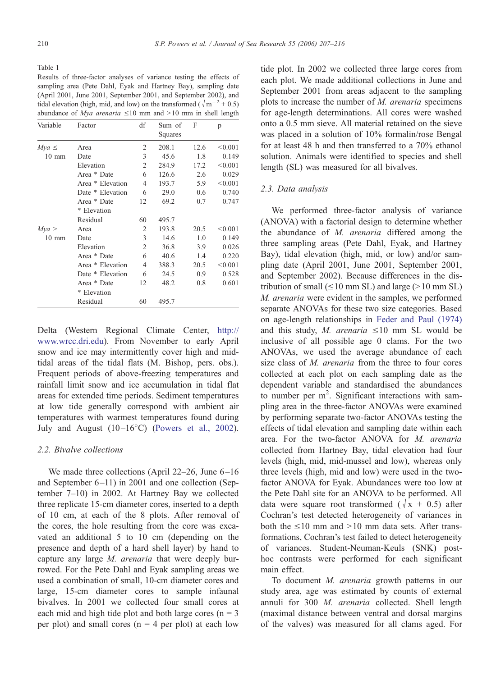<span id="page-3-0"></span>Table 1

Results of three-factor analyses of variance testing the effects of sampling area (Pete Dahl, Eyak and Hartney Bay), sampling date (April 2001, June 2001, September 2001, and September 2002), and tidal elevation (high, mid, and low) on the transformed ( $\sqrt{m^{-2} + 0.5}$ ) abundance of *Mya arenaria*  $\leq 10$  mm and  $> 10$  mm in shell length

| Variable        | Factor           | df | Sum of<br>Squares | F    | p       |
|-----------------|------------------|----|-------------------|------|---------|
| $Mva \leq$      | Area             | 2  | 208.1             | 12.6 | < 0.001 |
| $10 \text{ mm}$ | Date             | 3  | 45.6              | 1.8  | 0.149   |
|                 | Elevation        | 2  | 284.9             | 17.2 | < 0.001 |
|                 | Area * Date      | 6  | 126.6             | 2.6  | 0.029   |
|                 | Area * Elevation | 4  | 193.7             | 5.9  | < 0.001 |
|                 | Date * Elevation | 6  | 29.0              | 0.6  | 0.740   |
|                 | Area * Date      | 12 | 69.2              | 0.7  | 0.747   |
|                 | * Elevation      |    |                   |      |         |
|                 | Residual         | 60 | 495.7             |      |         |
| Mya >           | Area             | 2  | 193.8             | 20.5 | < 0.001 |
| $10 \text{ mm}$ | Date             | 3  | 14.6              | 1.0  | 0.149   |
|                 | Elevation        | 2  | 36.8              | 3.9  | 0.026   |
|                 | Area * Date      | 6  | 40.6              | 1.4  | 0.220   |
|                 | Area * Elevation | 4  | 388.3             | 20.5 | < 0.001 |
|                 | Date * Elevation | 6  | 24.5              | 0.9  | 0.528   |
|                 | Area * Date      | 12 | 48.2              | 0.8  | 0.601   |
|                 | * Elevation      |    |                   |      |         |
|                 | Residual         | 60 | 495.7             |      |         |

Delta (Western Regional Climate Center, h[ttp://](http://www.wrcc.dri.edu) www.wrcc.dri.edu). From November to early April snow and ice may intermittently cover high and midtidal areas of the tidal flats (M. Bishop, pers. obs.). Frequent periods of above-freezing temperatures and rainfall limit snow and ice accumulation in tidal flat areas for extended time periods. Sediment temperatures at low tide generally correspond with ambient air temperatures with warmest temperatures found during July and August  $(10-16^{\circ}\text{C})$  (P[owers et al., 2002\).](#page-9-0)

## 2.2. Bivalve collections

We made three collections (April  $22-26$ , June  $6-16$ and September 6-11) in 2001 and one collection (September 7–10) in 2002. At Hartney Bay we collected three replicate 15-cm diameter cores, inserted to a depth of 10 cm, at each of the 8 plots. After removal of the cores, the hole resulting from the core was excavated an additional 5 to 10 cm (depending on the presence and depth of a hard shell layer) by hand to capture any large M. arenaria that were deeply burrowed. For the Pete Dahl and Eyak sampling areas we used a combination of small, 10-cm diameter cores and large, 15-cm diameter cores to sample infaunal bivalves. In 2001 we collected four small cores at each mid and high tide plot and both large cores ( $n = 3$ ) per plot) and small cores ( $n = 4$  per plot) at each low

tide plot. In 2002 we collected three large cores from each plot. We made additional collections in June and September 2001 from areas adjacent to the sampling plots to increase the number of M. arenaria specimens for age-length determinations. All cores were washed onto a 0.5 mm sieve. All material retained on the sieve was placed in a solution of 10% formalin/rose Bengal for at least 48 h and then transferred to a 70% ethanol solution. Animals were identified to species and shell length (SL) was measured for all bivalves.

#### 2.3. Data analysis

We performed three-factor analysis of variance (ANOVA) with a factorial design to determine whether the abundance of M. arenaria differed among the three sampling areas (Pete Dahl, Eyak, and Hartney Bay), tidal elevation (high, mid, or low) and/or sampling date (April 2001, June 2001, September 2001, and September 2002). Because differences in the distribution of small  $(\leq 10 \text{ mm } SL)$  and large ( $> 10 \text{ mm } SL$ ) M. arenaria were evident in the samples, we performed separate ANOVAs for these two size categories. Based on age-length relationships in [Feder and Paul \(1974\)](#page-8-0) and this study, M. arenaria  $\leq 10$  mm SL would be inclusive of all possible age 0 clams. For the two ANOVAs, we used the average abundance of each size class of *M. arenaria* from the three to four cores collected at each plot on each sampling date as the dependent variable and standardised the abundances to number per  $m^2$ . Significant interactions with sampling area in the three-factor ANOVAs were examined by performing separate two-factor ANOVAs testing the effects of tidal elevation and sampling date within each area. For the two-factor ANOVA for M. arenaria collected from Hartney Bay, tidal elevation had four levels (high, mid, mid-mussel and low), whereas only three levels (high, mid and low) were used in the twofactor ANOVA for Eyak. Abundances were too low at the Pete Dahl site for an ANOVA to be performed. All data were square root transformed ( $\sqrt{x}$  + 0.5) after Cochran's test detected heterogeneity of variances in both the  $\leq 10$  mm and  $> 10$  mm data sets. After transformations, Cochran's test failed to detect heterogeneity of variances. Student-Neuman-Keuls (SNK) posthoc contrasts were performed for each significant main effect.

To document M. arenaria growth patterns in our study area, age was estimated by counts of external annuli for 300 M. arenaria collected. Shell length (maximal distance between ventral and dorsal margins of the valves) was measured for all clams aged. For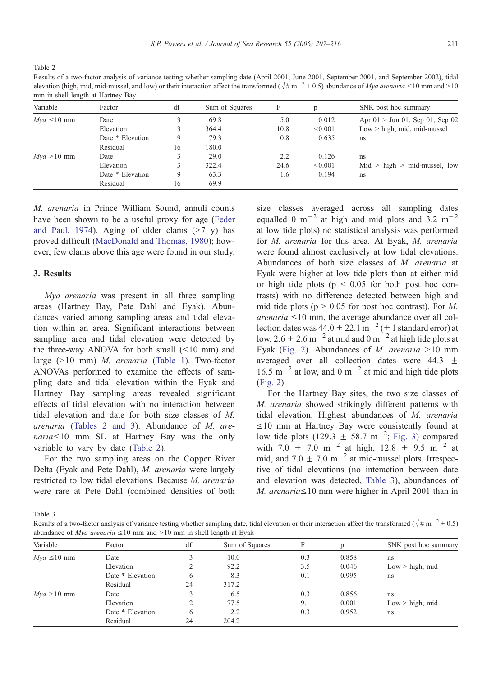Table 2

Results of a two-factor analysis of variance testing whether sampling date (April 2001, June 2001, September 2001, and September 2002), tidal elevation (high, mid, mid-mussel, and low) or their interaction affect the transformed ( $\sqrt{\frac{\mu}{m}}$  m<sup>-2</sup> + 0.5) abundance of *Mya arenaria*  $\leq$ 10 mm and > 10 mm in shell length at Hartney Bay

| Variable        | Factor           | df | Sum of Squares | F    |         | SNK post hoc summary              |
|-----------------|------------------|----|----------------|------|---------|-----------------------------------|
| $Mva \le 10$ mm | Date             |    | 169.8          | 5.0  | 0.012   | Apr $01 >$ Jun 01, Sep 01, Sep 02 |
|                 | Elevation        |    | 364.4          | 10.8 | < 0.001 | $Low > high$ , mid, mid-mussel    |
|                 | Date * Elevation | 9  | 79.3           | 0.8  | 0.635   | ns                                |
|                 | Residual         | 16 | 180.0          |      |         |                                   |
| $Mva > 10$ mm   | Date             |    | 29.0           | 2.2  | 0.126   | ns                                |
|                 | Elevation        |    | 322.4          | 24.6 | < 0.001 | $Mid$ > high > mid-mussel, low    |
|                 | Date * Elevation | 9  | 63.3           | 1.6  | 0.194   | ns                                |
|                 | Residual         | 16 | 69.9           |      |         |                                   |

M. arenaria in Prince William Sound, annuli counts have been shown to be a useful proxy for age (F[eder](#page-8-0) and Paul, 1974). Aging of older clams  $(>7 y)$  has proved difficult ([MacDonald and Thomas, 1980\);](#page-9-0) however, few clams above this age were found in our study.

# 3. Results

Mya arenaria was present in all three sampling areas (Hartney Bay, Pete Dahl and Eyak). Abundances varied among sampling areas and tidal elevation within an area. Significant interactions between sampling area and tidal elevation were detected by the three-way ANOVA for both small  $(\leq 10 \text{ mm})$  and large  $(>10$  mm) *M. arenaria* (T[able 1\).](#page-3-0) Two-factor ANOVAs performed to examine the effects of sampling date and tidal elevation within the Eyak and Hartney Bay sampling areas revealed significant effects of tidal elevation with no interaction between tidal elevation and date for both size classes of M. arenaria (Tables 2 and 3). Abundance of M. are $naria \leq 10$  mm SL at Hartney Bay was the only variable to vary by date (Table 2).

For the two sampling areas on the Copper River Delta (Eyak and Pete Dahl), M. arenaria were largely restricted to low tidal elevations. Because M. arenaria were rare at Pete Dahl (combined densities of both

size classes averaged across all sampling dates equalled 0  $\mathrm{m}^{-2}$  at high and mid plots and 3.2  $\mathrm{m}^{-2}$ at low tide plots) no statistical analysis was performed for M. arenaria for this area. At Eyak, M. arenaria were found almost exclusively at low tidal elevations. Abundances of both size classes of M. arenaria at Eyak were higher at low tide plots than at either mid or high tide plots ( $p < 0.05$  for both post hoc contrasts) with no difference detected between high and mid tide plots ( $p > 0.05$  for post hoc contrast). For M. arenaria  $\leq 10$  mm, the average abundance over all collection dates was  $44.0 \pm 22.1 \text{ m}^{-2} (\pm 1 \text{ standard error})$  at low,  $2.6 \pm 2.6$  m<sup>-2</sup> at mid and 0 m<sup>-2</sup> at high tide plots at Eyak ([Fig. 2\)](#page-5-0). Abundances of *M. arenaria* > 10 mm averaged over all collection dates were  $44.3 \pm$  $16.5 \text{ m}^{-2}$  at low, and 0 m<sup>-2</sup> at mid and high tide plots ([Fig. 2\)](#page-5-0).

For the Hartney Bay sites, the two size classes of M. arenaria showed strikingly different patterns with tidal elevation. Highest abundances of M. arenaria  $\leq$ 10 mm at Hartney Bay were consistently found at low tide plots  $(129.3 \pm 58.7 \text{ m}^{-2})$ ; [Fig. 3\)](#page-6-0) compared with 7.0  $\pm$  7.0 m<sup>-2</sup> at high, 12.8  $\pm$  9.5 m<sup>-2</sup> at mid, and  $7.0 \pm 7.0 \text{ m}^{-2}$  at mid-mussel plots. Irrespective of tidal elevations (no interaction between date and elevation was detected, Table 3), abundances of M. arenaria $\leq 10$  mm were higher in April 2001 than in

Table 3

Results of a two-factor analysis of variance testing whether sampling date, tidal elevation or their interaction affect the transformed  $(\sqrt{\# m^{-2} + 0.5})$ abundance of *Mya arenaria*  $\leq 10$  mm and  $> 10$  mm in shell length at Eyak

| Variable        | Factor           | df | Sum of Squares | F   |       | SNK post hoc summary |
|-----------------|------------------|----|----------------|-----|-------|----------------------|
| $Mva \le 10$ mm | Date             |    | 10.0           | 0.3 | 0.858 | ns                   |
|                 | Elevation        |    | 92.2           | 3.5 | 0.046 | $Low > high$ , mid   |
|                 | Date * Elevation | 6  | 8.3            | 0.1 | 0.995 | ns                   |
|                 | Residual         | 24 | 317.2          |     |       |                      |
| $Mva > 10$ mm   | Date             |    | 6.5            | 0.3 | 0.856 | ns                   |
|                 | Elevation        |    | 77.5           | 9.1 | 0.001 | $Low > high$ , mid   |
|                 | Date * Elevation | 6  | 2.2            | 0.3 | 0.952 | ns                   |
|                 | Residual         | 24 | 204.2          |     |       |                      |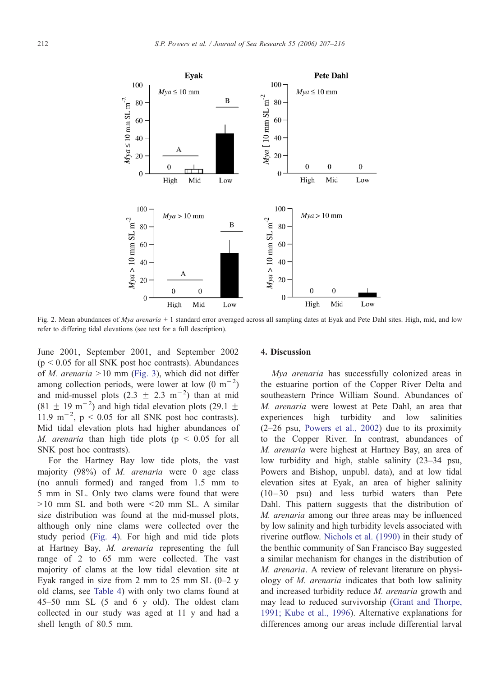<span id="page-5-0"></span>

Fig. 2. Mean abundances of Mya arenaria + 1 standard error averaged across all sampling dates at Eyak and Pete Dahl sites. High, mid, and low refer to differing tidal elevations (see text for a full description).

June 2001, September 2001, and September 2002  $(p \le 0.05$  for all SNK post hoc contrasts). Abundances of *M. arenaria*  $>10$  mm (F[ig. 3\),](#page-6-0) which did not differ among collection periods, were lower at low  $(0 \text{ m}^{-2})$ and mid-mussel plots  $(2.3 \pm 2.3 \text{ m}^{-2})$  than at mid  $(81 \pm 19 \text{ m}^{-2})$  and high tidal elevation plots (29.1  $\pm$ 11.9 m<sup>-2</sup>, p < 0.05 for all SNK post hoc contrasts). Mid tidal elevation plots had higher abundances of M. arenaria than high tide plots ( $p \le 0.05$  for all SNK post hoc contrasts).

For the Hartney Bay low tide plots, the vast majority (98%) of M. arenaria were 0 age class (no annuli formed) and ranged from 1.5 mm to 5 mm in SL. Only two clams were found that were  $>10$  mm SL and both were  $< 20$  mm SL. A similar size distribution was found at the mid-mussel plots, although only nine clams were collected over the study period (F[ig. 4\).](#page-6-0) For high and mid tide plots at Hartney Bay, M. arenaria representing the full range of 2 to 65 mm were collected. The vast majority of clams at the low tidal elevation site at Eyak ranged in size from 2 mm to 25 mm SL  $(0-2 \text{ y})$ old clams, see [Table 4\)](#page-7-0) with only two clams found at 45–50 mm SL (5 and 6 y old). The oldest clam collected in our study was aged at 11 y and had a shell length of 80.5 mm.

#### 4. Discussion

Mya arenaria has successfully colonized areas in the estuarine portion of the Copper River Delta and southeastern Prince William Sound. Abundances of M. arenaria were lowest at Pete Dahl, an area that experiences high turbidity and low salinities (2–26 psu, [Powers et al., 2002\)](#page-9-0) due to its proximity to the Copper River. In contrast, abundances of M. arenaria were highest at Hartney Bay, an area of low turbidity and high, stable salinity (23–34 psu, Powers and Bishop, unpubl. data), and at low tidal elevation sites at Eyak, an area of higher salinity (10 – 30 psu) and less turbid waters than Pete Dahl. This pattern suggests that the distribution of M. arenaria among our three areas may be influenced by low salinity and high turbidity levels associated with riverine outflow. [Nichols et al. \(1990\)](#page-9-0) in their study of the benthic community of San Francisco Bay suggested a similar mechanism for changes in the distribution of M. arenaria. A review of relevant literature on physiology of M. arenaria indicates that both low salinity and increased turbidity reduce M. arenaria growth and may lead to reduced survivorship ([Grant and Thorpe](#page-8-0), 1991; Kube et al., 1996). Alternative explanations for differences among our areas include differential larval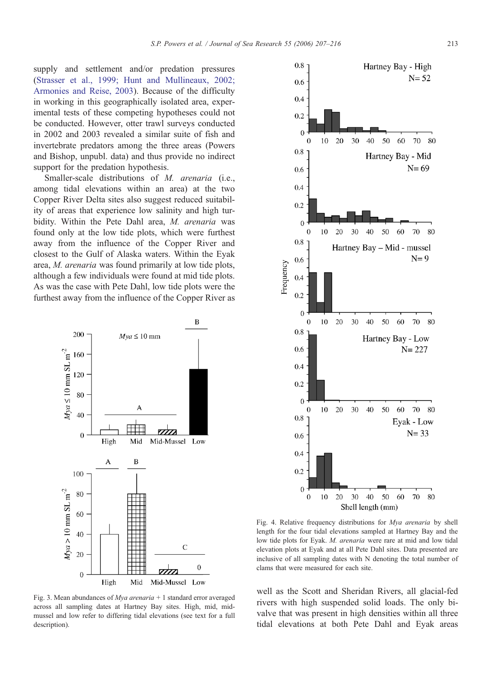<span id="page-6-0"></span>supply and settlement and/or predation pressures (S[trasser et al., 1999; Hunt and Mullineaux, 2002;](#page-9-0) Armonies and Reise, 2003). Because of the difficulty in working in this geographically isolated area, experimental tests of these competing hypotheses could not be conducted. However, otter trawl surveys conducted in 2002 and 2003 revealed a similar suite of fish and invertebrate predators among the three areas (Powers and Bishop, unpubl. data) and thus provide no indirect support for the predation hypothesis.

Smaller-scale distributions of *M. arenaria* (i.e., among tidal elevations within an area) at the two Copper River Delta sites also suggest reduced suitability of areas that experience low salinity and high turbidity. Within the Pete Dahl area, M. arenaria was found only at the low tide plots, which were furthest away from the influence of the Copper River and closest to the Gulf of Alaska waters. Within the Eyak area, M. arenaria was found primarily at low tide plots, although a few individuals were found at mid tide plots. As was the case with Pete Dahl, low tide plots were the furthest away from the influence of the Copper River as



Fig. 3. Mean abundances of *Mya arenaria* + 1 standard error averaged across all sampling dates at Hartney Bay sites. High, mid, midmussel and low refer to differing tidal elevations (see text for a full description).



Fig. 4. Relative frequency distributions for Mya arenaria by shell length for the four tidal elevations sampled at Hartney Bay and the low tide plots for Eyak. M. arenaria were rare at mid and low tidal elevation plots at Eyak and at all Pete Dahl sites. Data presented are inclusive of all sampling dates with N denoting the total number of clams that were measured for each site.

well as the Scott and Sheridan Rivers, all glacial-fed rivers with high suspended solid loads. The only bivalve that was present in high densities within all three tidal elevations at both Pete Dahl and Eyak areas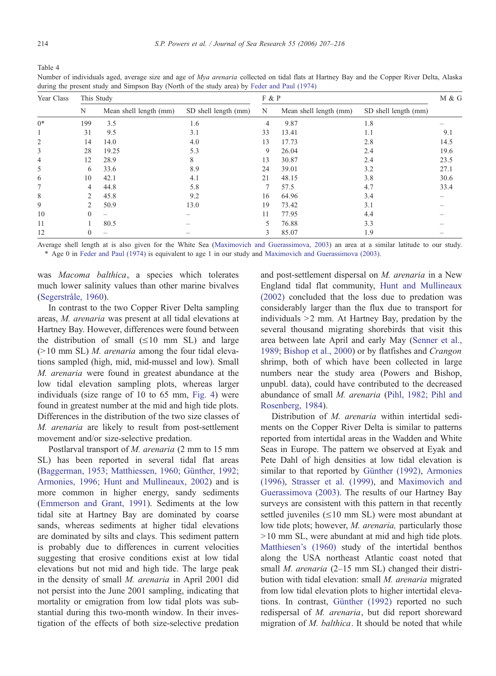<span id="page-7-0"></span>Table 4

Number of individuals aged, average size and age of *Mya arenaria* collected on tidal flats at Hartney Bay and the Copper River Delta, Alaska during the present study and Simpson Bay (North of the study area) by F[eder and Paul \(1974\)](#page-8-0)

| Year Class | This Study |                          |                      |                | F & P                  |                      |      |  |
|------------|------------|--------------------------|----------------------|----------------|------------------------|----------------------|------|--|
|            | N          | Mean shell length (mm)   | SD shell length (mm) | N              | Mean shell length (mm) | SD shell length (mm) |      |  |
| $0*$       | 199        | 3.5                      | 1.6                  | $\overline{4}$ | 9.87                   | 1.8                  |      |  |
|            | 31         | 9.5                      | 3.1                  | 33             | 13.41                  | 1.1                  | 9.1  |  |
| 2          | 14         | 14.0                     | 4.0                  | 13             | 17.73                  | 2.8                  | 14.5 |  |
| 3          | 28         | 19.25                    | 5.3                  | 9              | 26.04                  | 2.4                  | 19.6 |  |
| 4          | 12         | 28.9                     | 8                    | 13             | 30.87                  | 2.4                  | 23.5 |  |
| 5          | 6          | 33.6                     | 8.9                  | 24             | 39.01                  | 3.2                  | 27.1 |  |
| 6          | 10         | 42.1                     | 4.1                  | 21             | 48.15                  | 3.8                  | 30.6 |  |
| 7          | 4          | 44.8                     | 5.8                  | 7              | 57.5                   | 4.7                  | 33.4 |  |
| 8          | 2          | 45.8                     | 9.2                  | 16             | 64.96                  | 3.4                  |      |  |
| 9          | 2          | 50.9                     | 13.0                 | 19             | 73.42                  | 3.1                  |      |  |
| 10         | $\Omega$   | $\overline{\phantom{0}}$ |                      | 11             | 77.95                  | 4.4                  |      |  |
| 11         |            | 80.5                     |                      | 5              | 76.88                  | 3.3                  |      |  |
| 12         |            | -                        |                      | 3              | 85.07                  | 1.9                  |      |  |

Average shell length at is also given for the White Sea ([Maximovich and Guerassimova, 2003\) a](#page-8-0)n area at a similar latitude to our study. \* Age 0 in F[eder and Paul \(1974\)](#page-8-0) is equivalent to age 1 in our study and M[aximovich and Guerassimova \(2003\).](#page-8-0)

was Macoma balthica, a species which tolerates much lower salinity values than other marine bivalves (Segerstråle, 1960).

In contrast to the two Copper River Delta sampling areas, M. arenaria was present at all tidal elevations at Hartney Bay. However, differences were found between the distribution of small  $(\leq 10$  mm SL) and large  $(>10$  mm SL) *M. arenaria* among the four tidal elevations sampled (high, mid, mid-mussel and low). Small M. arenaria were found in greatest abundance at the low tidal elevation sampling plots, whereas larger individuals (size range of 10 to 65 mm, F[ig. 4\)](#page-6-0) were found in greatest number at the mid and high tide plots. Differences in the distribution of the two size classes of M. arenaria are likely to result from post-settlement movement and/or size-selective predation.

Postlarval transport of M. arenaria (2 mm to 15 mm SL) has been reported in several tidal flat areas (Baggerman, 1953; Matthiessen, 1960; Günther, 1992; Armonies, 1996; Hunt and Mullineaux, 2002) and is more common in higher energy, sandy sediments (E[mmerson and Grant, 1991\).](#page-8-0) Sediments at the low tidal site at Hartney Bay are dominated by coarse sands, whereas sediments at higher tidal elevations are dominated by silts and clays. This sediment pattern is probably due to differences in current velocities suggesting that erosive conditions exist at low tidal elevations but not mid and high tide. The large peak in the density of small M. arenaria in April 2001 did not persist into the June 2001 sampling, indicating that mortality or emigration from low tidal plots was substantial during this two-month window. In their investigation of the effects of both size-selective predation and post-settlement dispersal on M. arenaria in a New England tidal flat community, [Hunt and Mullineaux](#page-8-0) (2002) concluded that the loss due to predation was considerably larger than the flux due to transport for individuals  $>2$  mm. At Hartney Bay, predation by the several thousand migrating shorebirds that visit this area between late April and early May ([Senner et al.](#page-9-0), 1989; Bishop et al., 2000) or by flatfishes and Crangon shrimp, both of which have been collected in large numbers near the study area (Powers and Bishop, unpubl. data), could have contributed to the decreased abundance of small M. arenaria ([Pihl, 1982; Pihl and](#page-9-0) Rosenberg, 1984).

Distribution of *M. arenaria* within intertidal sediments on the Copper River Delta is similar to patterns reported from intertidal areas in the Wadden and White Seas in Europe. The pattern we observed at Eyak and Pete Dahl of high densities at low tidal elevation is similar to that reported by Günther (1992), [Armonie](#page-8-0)s (1996), [Strasser et al. \(1999\),](#page-9-0) and [Maximovich and](#page-8-0) Guerassimova (2003). The results of our Hartney Bay surveys are consistent with this pattern in that recently settled juveniles  $(\leq 10 \text{ mm } SL)$  were most abundant at low tide plots; however, M. arenaria, particularly those  $>10$  mm SL, were abundant at mid and high tide plots. [Matthiesen's \(1960\)](#page-8-0) study of the intertidal benthos along the USA northeast Atlantic coast noted that small *M. arenaria* (2–15 mm SL) changed their distribution with tidal elevation: small M. arenaria migrated from low tidal elevation plots to higher intertidal elevations. In contrast, Günther (1992) reported no such redispersal of M. arenaria, but did report shoreward migration of  $M$ . balthica. It should be noted that while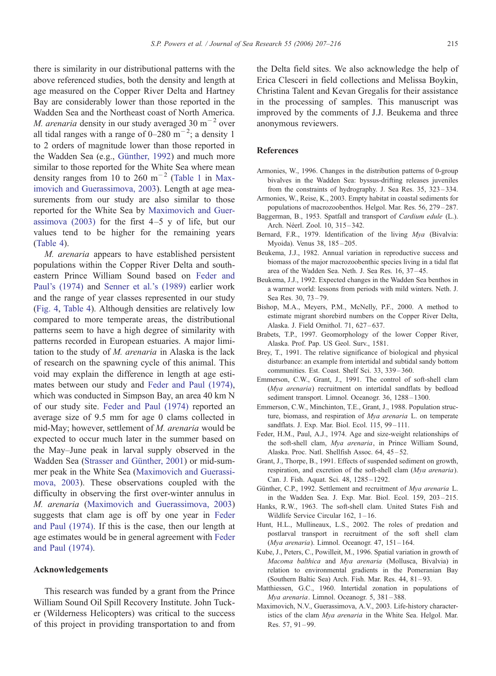<span id="page-8-0"></span>there is similarity in our distributional patterns with the above referenced studies, both the density and length at age measured on the Copper River Delta and Hartney Bay are considerably lower than those reported in the Wadden Sea and the Northeast coast of North America. *M. arenaria* density in our study averaged 30  $m^{-2}$  over all tidal ranges with a range of  $0-280$  m<sup> $-2$ </sup>; a density 1 to 2 orders of magnitude lower than those reported in the Wadden Sea (e.g., Günther, 1992) and much more similar to those reported for the White Sea where mean density ranges from 10 to 260  $\text{m}^{-2}$  (T[able 1](#page-3-0) in Maximovich and Guerassimova, 2003). Length at age measurements from our study are also similar to those reported for the White Sea by Maximovich and Guerassimova (2003) for the first  $4-5$  y of life, but our values tend to be higher for the remaining years ([Table 4\).](#page-7-0)

M. arenaria appears to have established persistent populations within the Copper River Delta and southeastern Prince William Sound based on Feder and Paul's (1974) and S[enner et al.'s \(1989\)](#page-9-0) earlier work and the range of year classes represented in our study (F[ig. 4,](#page-6-0) T[able 4\).](#page-7-0) Although densities are relatively low compared to more temperate areas, the distributional patterns seem to have a high degree of similarity with patterns recorded in European estuaries. A major limitation to the study of M. arenaria in Alaska is the lack of research on the spawning cycle of this animal. This void may explain the difference in length at age estimates between our study and Feder and Paul (1974), which was conducted in Simpson Bay, an area 40 km N of our study site. Feder and Paul (1974) reported an average size of 9.5 mm for age 0 clams collected in mid-May; however, settlement of M. arenaria would be expected to occur much later in the summer based on the May–June peak in larval supply observed in the Wadden Sea (Strasser and Günther, 2001) or mid-summer peak in the White Sea (Maximovich and Guerassimova, 2003). These observations coupled with the difficulty in observing the first over-winter annulus in M. arenaria (Maximovich and Guerassimova, 2003) suggests that clam age is off by one year in Feder and Paul (1974). If this is the case, then our length at age estimates would be in general agreement with Feder and Paul (1974).

## Acknowledgements

This research was funded by a grant from the Prince William Sound Oil Spill Recovery Institute. John Tucker (Wilderness Helicopters) was critical to the success of this project in providing transportation to and from

the Delta field sites. We also acknowledge the help of Erica Clesceri in field collections and Melissa Boykin, Christina Talent and Kevan Gregalis for their assistance in the processing of samples. This manuscript was improved by the comments of J.J. Beukema and three anonymous reviewers.

#### References

- Armonies, W., 1996. Changes in the distribution patterns of 0-group bivalves in the Wadden Sea: byssus-drifting releases juveniles from the constraints of hydrography. J. Sea Res. 35, 323 – 334.
- Armonies, W., Reise, K., 2003. Empty habitat in coastal sediments for populations of macrozoobenthos. Helgol. Mar. Res. 56, 279 – 287.
- Baggerman, B., 1953. Spatfall and transport of Cardium edule (L.). Arch. Néerl. Zool. 10, 315-342.
- Bernard, F.R., 1979. Identification of the living Mya (Bivalvia: Myoida). Venus 38, 185-205.
- Beukema, J.J., 1982. Annual variation in reproductive success and biomass of the major macrozoobenthic species living in a tidal flat area of the Wadden Sea. Neth. J. Sea Res. 16, 37 – 45.
- Beukema, J.J., 1992. Expected changes in the Wadden Sea benthos in a warmer world: lessons from periods with mild winters. Neth. J. Sea Res. 30, 73 – 79.
- Bishop, M.A., Meyers, P.M., McNelly, P.F., 2000. A method to estimate migrant shorebird numbers on the Copper River Delta, Alaska. J. Field Ornithol. 71, 627 – 637.
- Brabets, T.P., 1997. Geomorphology of the lower Copper River, Alaska. Prof. Pap. US Geol. Surv., 1581.
- Brey, T., 1991. The relative significance of biological and physical disturbance: an example from intertidal and subtidal sandy bottom communities. Est. Coast. Shelf Sci. 33, 339 – 360.
- Emmerson, C.W., Grant, J., 1991. The control of soft-shell clam (Mya arenaria) recruitment on intertidal sandflats by bedload sediment transport. Limnol. Oceanogr. 36, 1288-1300.
- Emmerson, C.W., Minchinton, T.E., Grant, J., 1988. Population structure, biomass, and respiration of Mya arenaria L. on temperate sandflats. J. Exp. Mar. Biol. Ecol. 115, 99-111.
- Feder, H.M., Paul, A.J., 1974. Age and size-weight relationships of the soft-shell clam, Mya arenaria, in Prince William Sound, Alaska. Proc. Natl. Shellfish Assoc. 64, 45 – 52.
- Grant, J., Thorpe, B., 1991. Effects of suspended sediment on growth, respiration, and excretion of the soft-shell clam (Mya arenaria). Can. J. Fish. Aquat. Sci. 48, 1285 – 1292.
- Günther, C.P., 1992. Settlement and recruitment of Mya arenaria L. in the Wadden Sea. J. Exp. Mar. Biol. Ecol. 159, 203 – 215.
- Hanks, R.W., 1963. The soft-shell clam. United States Fish and Wildlife Service Circular 162, 1-16.
- Hunt, H.L., Mullineaux, L.S., 2002. The roles of predation and postlarval transport in recruitment of the soft shell clam (Mya arenaria). Limnol. Oceanogr. 47, 151 – 164.
- Kube, J., Peters, C., Powilleit, M., 1996. Spatial variation in growth of Macoma balthica and Mya arenaria (Mollusca, Bivalvia) in relation to environmental gradients in the Pomeranian Bay (Southern Baltic Sea) Arch. Fish. Mar. Res. 44, 81 – 93.
- Matthiessen, G.C., 1960. Intertidal zonation in populations of Mya arenaria. Limnol. Oceanogr. 5, 381-388.
- Maximovich, N.V., Guerassimova, A.V., 2003. Life-history characteristics of the clam Mya arenaria in the White Sea. Helgol. Mar. Res. 57, 91 – 99.